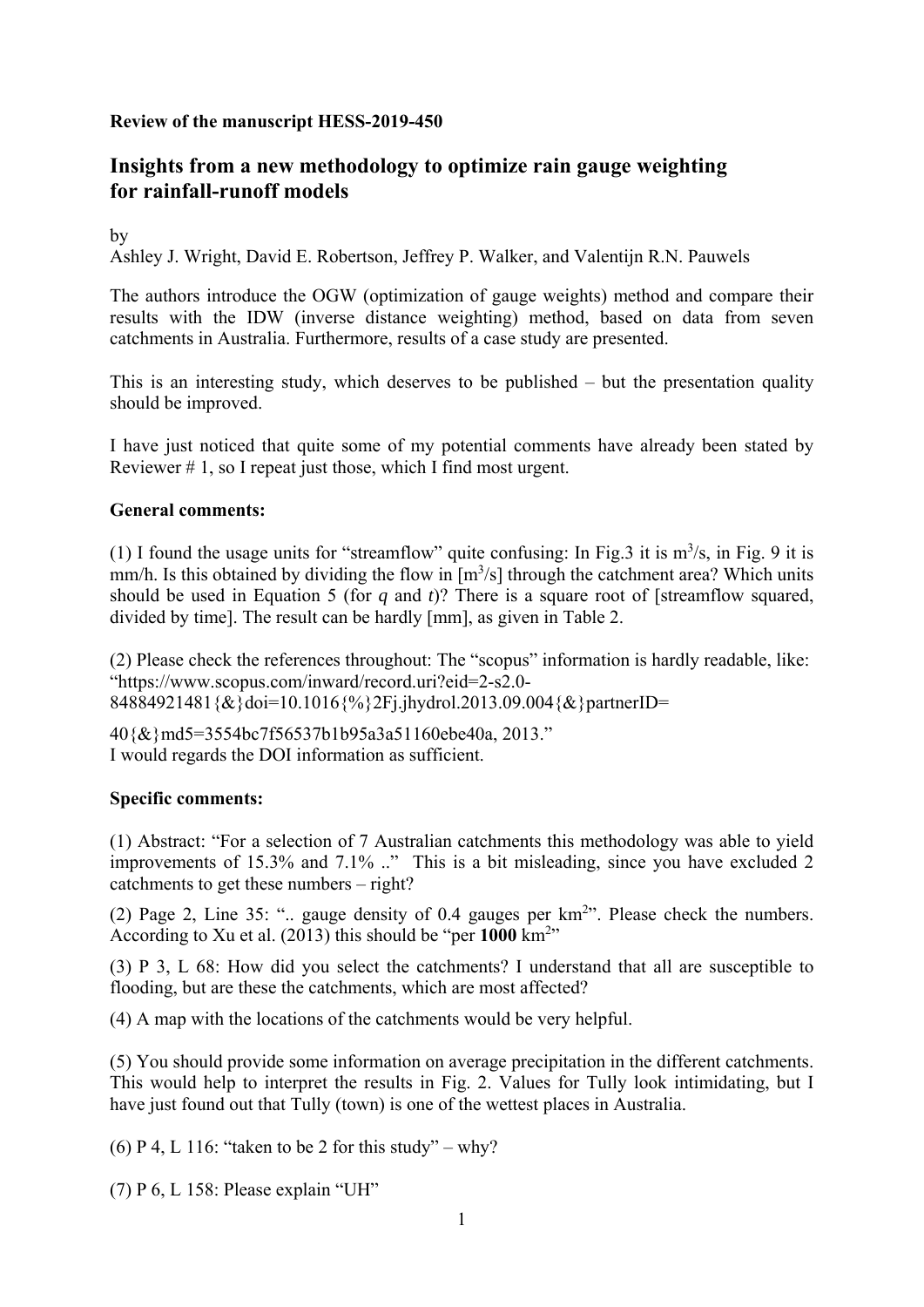## **Review of the manuscript HESS-2019-450**

# **Insights from a new methodology to optimize rain gauge weighting for rainfall-runoff models**

by

Ashley J. Wright, David E. Robertson, Jeffrey P. Walker, and Valentijn R.N. Pauwels

The authors introduce the OGW (optimization of gauge weights) method and compare their results with the IDW (inverse distance weighting) method, based on data from seven catchments in Australia. Furthermore, results of a case study are presented.

This is an interesting study, which deserves to be published – but the presentation quality should be improved.

I have just noticed that quite some of my potential comments have already been stated by Reviewer # 1, so I repeat just those, which I find most urgent.

#### **General comments:**

(1) I found the usage units for "streamflow" quite confusing: In Fig. 3 it is  $m^3/s$ , in Fig. 9 it is mm/h. Is this obtained by dividing the flow in  $[m<sup>3</sup>/s]$  through the catchment area? Which units should be used in Equation 5 (for *q* and *t*)? There is a square root of [streamflow squared, divided by time]. The result can be hardly [mm], as given in Table 2.

(2) Please check the references throughout: The "scopus" information is hardly readable, like: "https://www.scopus.com/inward/record.uri?eid=2-s2.0- 84884921481{&}doi=10.1016{%}2Fj.jhydrol.2013.09.004{&}partnerID=

40{&}md5=3554bc7f56537b1b95a3a51160ebe40a, 2013." I would regards the DOI information as sufficient.

## **Specific comments:**

(1) Abstract: "For a selection of 7 Australian catchments this methodology was able to yield improvements of 15.3% and 7.1% .." This is a bit misleading, since you have excluded 2 catchments to get these numbers – right?

(2) Page 2, Line 35: ".. gauge density of 0.4 gauges per  $km<sup>2</sup>$ ". Please check the numbers. According to Xu et al.  $(2013)$  this should be "per  $1000 \text{ km}^{2}$ "

(3) P 3, L 68: How did you select the catchments? I understand that all are susceptible to flooding, but are these the catchments, which are most affected?

(4) A map with the locations of the catchments would be very helpful.

(5) You should provide some information on average precipitation in the different catchments. This would help to interpret the results in Fig. 2. Values for Tully look intimidating, but I have just found out that Tully (town) is one of the wettest places in Australia.

(6) P 4, L 116: "taken to be 2 for this study" – why?

(7) P 6, L 158: Please explain "UH"